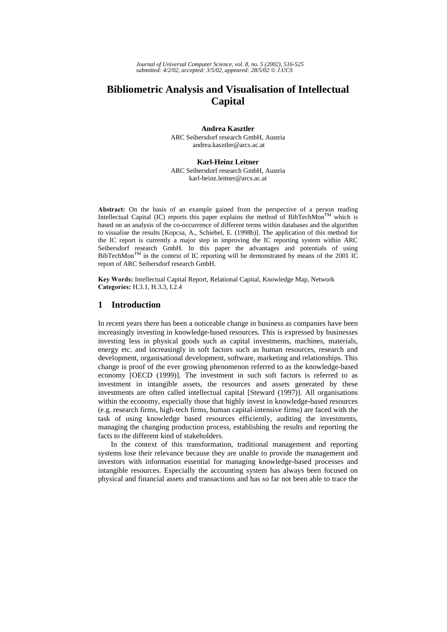# **Bibliometric Analysis and Visualisation of Intellectual Capital**

**Andrea Kasztler** 

ARC Seibersdorf research GmbH, Austria andrea.kasztler@arcs.ac.at

### **Karl-Heinz Leitner**

ARC Seibersdorf research GmbH, Austria karl-heinz.leitner@arcs.ac.at

Abstract: On the basis of an example gained from the perspective of a person reading Intellectual Capital (IC) reports this paper explains the method of BibTechMon<sup>TM</sup> which is based on an analysis of the co-occurrence of different terms within databases and the algorithm to visualise the results [Kopcsa, A., Schiebel, E. (1998b)]. The application of this method for the IC report is currently a major step in improving the IC reporting system within ARC Seibersdorf research GmbH. In this paper the advantages and potentials of using  $BibTechMon^{TM}$  in the context of IC reporting will be demonstrated by means of the 2001 IC report of ARC Seibersdorf research GmbH.

Key Words: Intellectual Capital Report, Relational Capital, Knowledge Map, Network Categories: H.3.1, H.3.3, I.2.4

# **1 Introduction**

In recent years there has been a noticeable change in business as companies have been increasingly investing in knowledge-based resources. This is expressed by businesses investing less in physical goods such as capital investments, machines, materials, energy etc. and increasingly in soft factors such as human resources, research and development, organisational development, software, marketing and relationships. This change is proof of the ever growing phenomenon referred to as the knowledge-based economy [OECD (1999)]. The investment in such soft factors is referred to as investment in intangible assets, the resources and assets generated by these investments are often called intellectual capital [Steward (1997)]. All organisations within the economy, especially those that highly invest in knowledge-based resources (e.g. research firms, high-tech firms, human capital-intensive firms) are faced with the task of using knowledge based resources efficiently, auditing the investments, managing the changing production process, establishing the results and reporting the facts to the different kind of stakeholders.

In the context of this transformation, traditional management and reporting systems lose their relevance because they are unable to provide the management and investors with information essential for managing knowledge-based processes and intangible resources. Especially the accounting system has always been focused on physical and financial assets and transactions and has so far not been able to trace the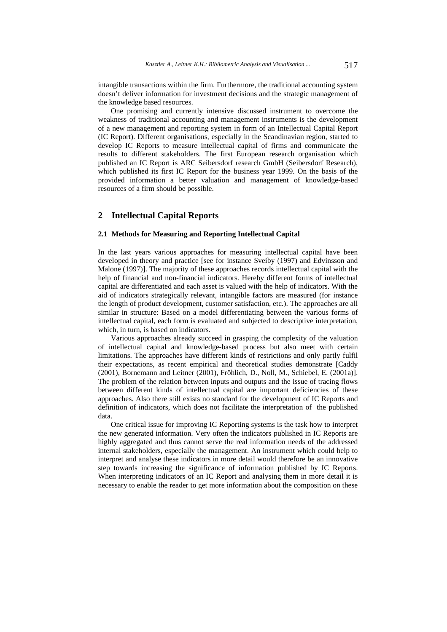intangible transactions within the firm. Furthermore, the traditional accounting system doesn't deliver information for investment decisions and the strategic management of the knowledge based resources.

One promising and currently intensive discussed instrument to overcome the weakness of traditional accounting and management instruments is the development of a new management and reporting system in form of an Intellectual Capital Report (IC Report). Different organisations, especially in the Scandinavian region, started to develop IC Reports to measure intellectual capital of firms and communicate the results to different stakeholders. The first European research organisation which published an IC Report is ARC Seibersdorf research GmbH (Seibersdorf Research), which published its first IC Report for the business year 1999. On the basis of the provided information a better valuation and management of knowledge-based resources of a firm should be possible.

### **2 Intellectual Capital Reports**

### **2.1 Methods for Measuring and Reporting Intellectual Capital**

In the last years various approaches for measuring intellectual capital have been developed in theory and practice [see for instance Sveiby (1997) and Edvinsson and Malone (1997)]. The majority of these approaches records intellectual capital with the help of financial and non-financial indicators. Hereby different forms of intellectual capital are differentiated and each asset is valued with the help of indicators. With the aid of indicators strategically relevant, intangible factors are measured (for instance the length of product development, customer satisfaction, etc.). The approaches are all similar in structure: Based on a model differentiating between the various forms of intellectual capital, each form is evaluated and subjected to descriptive interpretation, which, in turn, is based on indicators.

Various approaches already succeed in grasping the complexity of the valuation of intellectual capital and knowledge-based process but also meet with certain limitations. The approaches have different kinds of restrictions and only partly fulfil their expectations, as recent empirical and theoretical studies demonstrate [Caddy (2001), Bornemann and Leitner (2001), Fröhlich, D., Noll, M., Schiebel, E. (2001a)]. The problem of the relation between inputs and outputs and the issue of tracing flows between different kinds of intellectual capital are important deficiencies of these approaches. Also there still exists no standard for the development of IC Reports and definition of indicators, which does not facilitate the interpretation of the published data.

One critical issue for improving IC Reporting systems is the task how to interpret the new generated information. Very often the indicators published in IC Reports are highly aggregated and thus cannot serve the real information needs of the addressed internal stakeholders, especially the management. An instrument which could help to interpret and analyse these indicators in more detail would therefore be an innovative step towards increasing the significance of information published by IC Reports. When interpreting indicators of an IC Report and analysing them in more detail it is necessary to enable the reader to get more information about the composition on these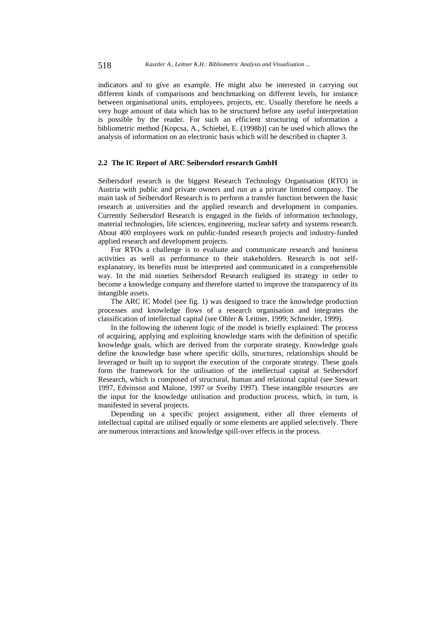indicators and to give an example. He might also be interested in carrying out different kinds of comparisons and benchmarking on different levels, for instance between organisational units, employees, projects, etc. Usually therefore he needs a very huge amount of data which has to be structured before any useful interpretation is possible by the reader. For such an efficient structuring of information a bibliometric method [Kopcsa, A., Schiebel, E. (1998b)] can be used which allows the analysis of information on an electronic basis which will be described in chapter 3.

# **2.2 The IC Report of ARC Seibersdorf research GmbH**

Seibersdorf research is the biggest Research Technology Organisation (RTO) in Austria with public and private owners and run as a private limited company. The main task of Seibersdorf Research is to perform a transfer function between the basic research at universities and the applied research and development in companies. Currently Seibersdorf Research is engaged in the fields of information technology, material technologies, life sciences, engineering, nuclear safety and systems research. About 400 employees work on public-funded research projects and industry-funded applied research and development projects.

For RTOs a challenge is to evaluate and communicate research and business activities as well as performance to their stakeholders. Research is not selfexplanatory, its benefits must be interpreted and communicated in a comprehensible way. In the mid nineties Seibersdorf Research realigned its strategy in order to become a knowledge company and therefore started to improve the transparency of its intangible assets.

The ARC IC Model (see fig. 1) was designed to trace the knowledge production processes and knowledge flows of a research organisation and integrates the classification of intellectual capital (see Ohler & Leitner, 1999; Schneider, 1999).

In the following the inherent logic of the model is briefly explained: The process of acquiring, applying and exploiting knowledge starts with the definition of specific knowledge goals, which are derived from the corporate strategy. Knowledge goals define the knowledge base where specific skills, structures, relationships should be leveraged or built up to support the execution of the corporate strategy. These goals form the framework for the utilisation of the intellectual capital at Seibersdorf Research, which is composed of structural, human and relational capital (see Stewart 1997, Edvinson and Malone, 1997 or Sveiby 1997). These intangible resources are the input for the knowledge utilisation and production process, which, in turn, is manifested in several projects.

Depending on a specific project assignment, either all three elements of intellectual capital are utilised equally or some elements are applied selectively. There are numerous interactions and knowledge spill-over effects in the process.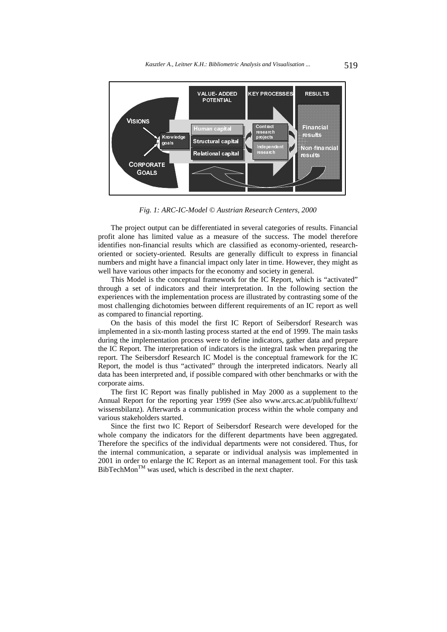

*Fig. 1: ARC-IC-Model © Austrian Research Centers, 2000* 

The project output can be differentiated in several categories of results. Financial profit alone has limited value as a measure of the success. The model therefore identifies non-financial results which are classified as economy-oriented, researchoriented or society-oriented. Results are generally difficult to express in financial numbers and might have a financial impact only later in time. However, they might as well have various other impacts for the economy and society in general.

This Model is the conceptual framework for the IC Report, which is "activated" through a set of indicators and their interpretation. In the following section the experiences with the implementation process are illustrated by contrasting some of the most challenging dichotomies between different requirements of an IC report as well as compared to financial reporting.

On the basis of this model the first IC Report of Seibersdorf Research was implemented in a six-month lasting process started at the end of 1999. The main tasks during the implementation process were to define indicators, gather data and prepare the IC Report. The interpretation of indicators is the integral task when preparing the report. The Seibersdorf Research IC Model is the conceptual framework for the IC Report, the model is thus "activated" through the interpreted indicators. Nearly all data has been interpreted and, if possible compared with other benchmarks or with the corporate aims.

The first IC Report was finally published in May 2000 as a supplement to the Annual Report for the reporting year 1999 (See also www.arcs.ac.at/publik/fulltext/ wissensbilanz). Afterwards a communication process within the whole company and various stakeholders started.

Since the first two IC Report of Seibersdorf Research were developed for the whole company the indicators for the different departments have been aggregated. Therefore the specifics of the individual departments were not considered. Thus, for the internal communication, a separate or individual analysis was implemented in 2001 in order to enlarge the IC Report as an internal management tool. For this task  $BibTechMon^{TM}$  was used, which is described in the next chapter.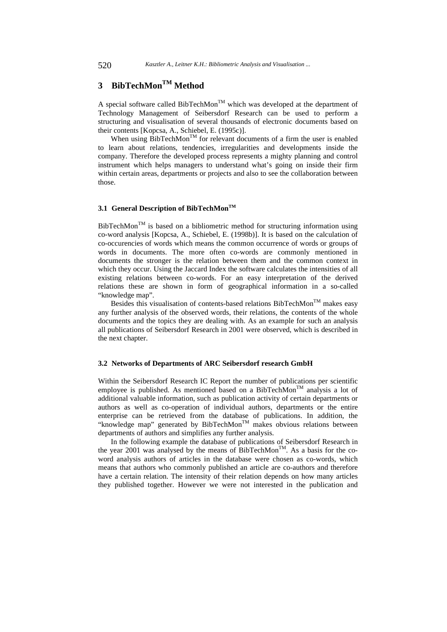# **3 BibTechMonTM Method**

A special software called BibTechMon<sup>TM</sup> which was developed at the department of Technology Management of Seibersdorf Research can be used to perform a structuring and visualisation of several thousands of electronic documents based on their contents [Kopcsa, A., Schiebel, E. (1995c)].

When using BibTechMon<sup>TM</sup> for relevant documents of a firm the user is enabled to learn about relations, tendencies, irregularities and developments inside the company. Therefore the developed process represents a mighty planning and control instrument which helps managers to understand what's going on inside their firm within certain areas, departments or projects and also to see the collaboration between those.

### 3.1 General Description of BibTechMon<sup>TM</sup>

BibTechMon<sup>TM</sup> is based on a bibliometric method for structuring information using co-word analysis [Kopcsa, A., Schiebel, E. (1998b)]. It is based on the calculation of co-occurencies of words which means the common occurrence of words or groups of words in documents. The more often co-words are commonly mentioned in documents the stronger is the relation between them and the common context in which they occur. Using the Jaccard Index the software calculates the intensities of all existing relations between co-words. For an easy interpretation of the derived relations these are shown in form of geographical information in a so-called "knowledge map".

Besides this visualisation of contents-based relations  $BibTechMon^{TM}$  makes easy any further analysis of the observed words, their relations, the contents of the whole documents and the topics they are dealing with. As an example for such an analysis all publications of Seibersdorf Research in 2001 were observed, which is described in the next chapter.

# **3.2 Networks of Departments of ARC Seibersdorf research GmbH**

Within the Seibersdorf Research IC Report the number of publications per scientific employee is published. As mentioned based on a BibTechMon<sup>TM</sup> analysis a lot of additional valuable information, such as publication activity of certain departments or authors as well as co-operation of individual authors, departments or the entire enterprise can be retrieved from the database of publications. In addition, the "knowledge map" generated by BibTechMon<sup>TM</sup> makes obvious relations between departments of authors and simplifies any further analysis.

In the following example the database of publications of Seibersdorf Research in the year 2001 was analysed by the means of  $\dot{\text{BibTechMon}}^{\text{TM}}$ . As a basis for the coword analysis authors of articles in the database were chosen as co-words, which means that authors who commonly published an article are co-authors and therefore have a certain relation. The intensity of their relation depends on how many articles they published together. However we were not interested in the publication and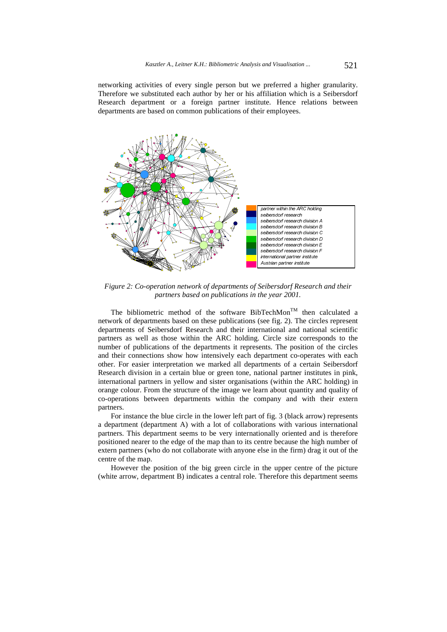networking activities of every single person but we preferred a higher granularity. Therefore we substituted each author by her or his affiliation which is a Seibersdorf Research department or a foreign partner institute. Hence relations between departments are based on common publications of their employees.



*Figure 2: Co-operation network of departments of Seibersdorf Research and their partners based on publications in the year 2001.* 

The bibliometric method of the software BibTechMon<sup>TM</sup> then calculated a network of departments based on these publications (see fig. 2). The circles represent departments of Seibersdorf Research and their international and national scientific partners as well as those within the ARC holding. Circle size corresponds to the number of publications of the departments it represents. The position of the circles and their connections show how intensively each department co-operates with each other. For easier interpretation we marked all departments of a certain Seibersdorf Research division in a certain blue or green tone, national partner institutes in pink, international partners in yellow and sister organisations (within the ARC holding) in orange colour. From the structure of the image we learn about quantity and quality of co-operations between departments within the company and with their extern partners.

For instance the blue circle in the lower left part of fig. 3 (black arrow) represents a department (department A) with a lot of collaborations with various international partners. This department seems to be very internationally oriented and is therefore positioned nearer to the edge of the map than to its centre because the high number of extern partners (who do not collaborate with anyone else in the firm) drag it out of the centre of the map.

However the position of the big green circle in the upper centre of the picture (white arrow, department B) indicates a central role. Therefore this department seems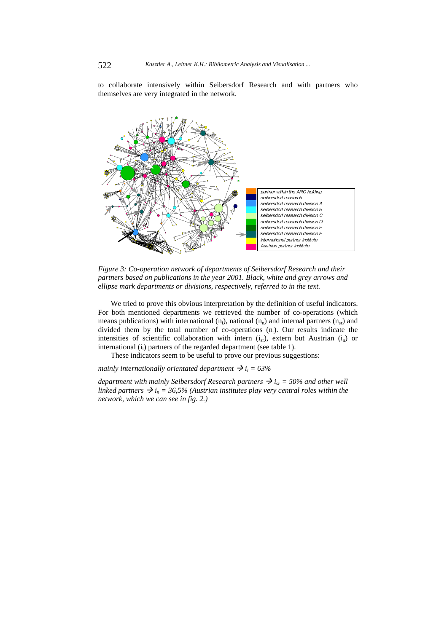to collaborate intensively within Seibersdorf Research and with partners who themselves are very integrated in the network.



*Figure 3: Co-operation network of departments of Seibersdorf Research and their partners based on publications in the year 2001. Black, white and grey arrows and ellipse mark departments or divisions, respectively, referred to in the text.* 

We tried to prove this obvious interpretation by the definition of useful indicators. For both mentioned departments we retrieved the number of co-operations (which means publications) with international  $(n_i)$ , national  $(n_n)$  and internal partners  $(n_{sr})$  and divided them by the total number of co-operations  $(n_t)$ . Our results indicate the intensities of scientific collaboration with intern  $(i_{sr})$ , extern but Austrian  $(i_n)$  or international  $(i<sub>i</sub>)$  partners of the regarded department (see table 1).

These indicators seem to be useful to prove our previous suggestions:

*mainly internationally orientated department*  $\rightarrow i_i = 63\%$ 

*department with mainly Seibersdorf Research partners*  $\rightarrow$  *i<sub>sr</sub>* = 50% and other well *linked partners*  $\rightarrow i_n = 36,5\%$  (Austrian institutes play very central roles within the *network, which we can see in fig. 2.)*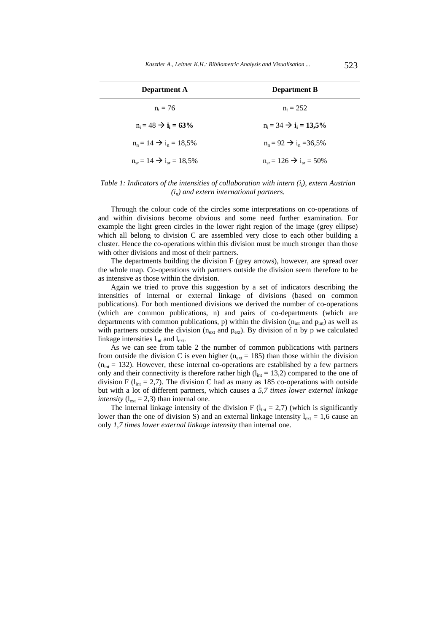| <b>Department A</b>                               | <b>Department B</b>                              |
|---------------------------------------------------|--------------------------------------------------|
| $n_t = 76$                                        | $n_t = 252$                                      |
| $n_i = 48 \rightarrow i_i = 63\%$                 | $n_i = 34 \rightarrow i_i = 13.5\%$              |
| $n_e = 14 \rightarrow i_e = 18.5\%$               | $n_e = 92 \rightarrow i_e = 36.5\%$              |
| $n_{\rm sr} = 14 \rightarrow i_{\rm sr} = 18,5\%$ | $n_{\rm sr} = 126 \rightarrow i_{\rm sr} = 50\%$ |

### *Table 1: Indicators of the intensities of collaboration with intern (i<sub>i</sub>), extern Austrian (in) and extern international partners.*

Through the colour code of the circles some interpretations on co-operations of and within divisions become obvious and some need further examination. For example the light green circles in the lower right region of the image (grey ellipse) which all belong to division C are assembled very close to each other building a cluster. Hence the co-operations within this division must be much stronger than those with other divisions and most of their partners.

The departments building the division F (grey arrows), however, are spread over the whole map. Co-operations with partners outside the division seem therefore to be as intensive as those within the division.

Again we tried to prove this suggestion by a set of indicators describing the intensities of internal or external linkage of divisions (based on common publications). For both mentioned divisions we derived the number of co-operations (which are common publications, n) and pairs of co-departments (which are departments with common publications, p) within the division ( $n_{int}$  and  $p_{int}$ ) as well as with partners outside the division ( $n_{ext}$  and  $p_{ext}$ ). By division of n by p we calculated linkage intensities  $l_{int}$  and  $l_{ext}$ .

As we can see from table 2 the number of common publications with partners from outside the division C is even higher ( $n_{ext}$  = 185) than those within the division  $(n<sub>int</sub> = 132)$ . However, these internal co-operations are established by a few partners only and their connectivity is therefore rather high  $(l_{int} = 13,2)$  compared to the one of division F ( $l_{int} = 2.7$ ). The division C had as many as 185 co-operations with outside but with a lot of different partners, which causes a *5,7 times lower external linkage intensity*  $(l_{ext} = 2.3)$  than internal one.

The internal linkage intensity of the division F  $(l_{int} = 2.7)$  (which is significantly lower than the one of division S) and an external linkage intensity  $l_{ext} = 1.6$  cause an only *1,7 times lower external linkage intensity* than internal one.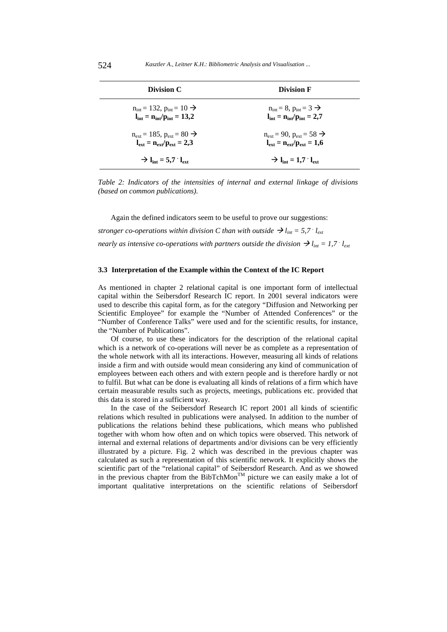| Division C                                                 | <b>Division F</b>                                                                 |
|------------------------------------------------------------|-----------------------------------------------------------------------------------|
| $n_{\text{int}} = 132$ , $p_{\text{int}} = 10 \rightarrow$ | $n_{\text{int}} = 8$ , $p_{\text{int}} = 3 \rightarrow$                           |
| $l_{\text{int}} = n_{\text{int}}/p_{\text{int}} = 13.2$    | $\mathbf{l}_{\text{int}} = \mathbf{n}_{\text{int}}/\mathbf{p}_{\text{int}} = 2.7$ |
| $n_{\rm ext} = 185$ , $p_{\rm ext} = 80$ $\rightarrow$     | $n_{\text{ext}} = 90$ , $p_{\text{ext}} = 58$ $\rightarrow$                       |
| $l_{\rm ext} = n_{\rm ext}/p_{\rm ext} = 2.3$              | $l_{\rm ext} = n_{\rm ext}/p_{\rm ext} = 1.6$                                     |
| $\rightarrow$ lint = 5.7 $\cdot$ leve                      | $\rightarrow$ l <sub>int</sub> = 1,7 $\cdot$ l <sub>ext</sub>                     |

*Table 2: Indicators of the intensities of internal and external linkage of divisions (based on common publications).* 

Again the defined indicators seem to be useful to prove our suggestions: *stronger co-operations within division C than with outside*  $\rightarrow$   $l_{int}$  = 5,7  $\cdot$   $l_{ext}$ *nearly as intensive co-operations with partners outside the division*  $\rightarrow$   $l_{int}$  = 1,7  $\cdot$   $l_{ext}$ 

# **3.3 Interpretation of the Example within the Context of the IC Report**

As mentioned in chapter 2 relational capital is one important form of intellectual capital within the Seibersdorf Research IC report. In 2001 several indicators were used to describe this capital form, as for the category "Diffusion and Networking per Scientific Employee" for example the "Number of Attended Conferences" or the "Number of Conference Talks" were used and for the scientific results, for instance, the "Number of Publications".

Of course, to use these indicators for the description of the relational capital which is a network of co-operations will never be as complete as a representation of the whole network with all its interactions. However, measuring all kinds of relations inside a firm and with outside would mean considering any kind of communication of employees between each others and with extern people and is therefore hardly or not to fulfil. But what can be done is evaluating all kinds of relations of a firm which have certain measurable results such as projects, meetings, publications etc. provided that this data is stored in a sufficient way.

In the case of the Seibersdorf Research IC report 2001 all kinds of scientific relations which resulted in publications were analysed. In addition to the number of publications the relations behind these publications, which means who published together with whom how often and on which topics were observed. This network of internal and external relations of departments and/or divisions can be very efficiently illustrated by a picture. Fig. 2 which was described in the previous chapter was calculated as such a representation of this scientific network. It explicitly shows the scientific part of the "relational capital" of Seibersdorf Research. And as we showed in the previous chapter from the BibTchMon<sup>TM</sup> picture we can easily make a lot of important qualitative interpretations on the scientific relations of Seibersdorf